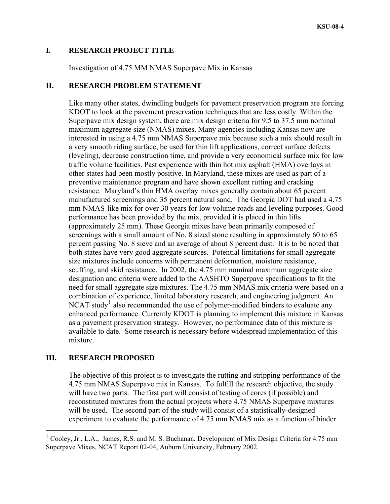## <span id="page-0-0"></span>**I. RESEARCH PROJECT TITLE**

Investigation of 4.75 MM NMAS Superpave Mix in Kansas

# **II. RESEARCH PROBLEM STATEMENT**

Like many other states, dwindling budgets for pavement preservation program are forcing KDOT to look at the pavement preservation techniques that are less costly. Within the Superpave mix design system, there are mix design criteria for 9.5 to 37.5 mm nominal maximum aggregate size (NMAS) mixes. Many agencies including Kansas now are interested in using a 4.75 mm NMAS Superpave mix because such a mix should result in a very smooth riding surface, be used for thin lift applications, correct surface defects (leveling), decrease construction time, and provide a very economical surface mix for low traffic volume facilities. Past experience with thin hot mix asphalt (HMA) overlays in other states had been mostly positive. In Maryland, these mixes are used as part of a preventive maintenance program and have shown excellent rutting and cracking resistance. Maryland's thin HMA overlay mixes generally contain about 65 percent manufactured screenings and 35 percent natural sand. The Georgia DOT had used a 4.75 mm NMAS-like mix for over 30 years for low volume roads and leveling purposes. Good performance has been provided by the mix, provided it is placed in thin lifts (approximately 25 mm). These Georgia mixes have been primarily composed of screenings with a small amount of No. 8 sized stone resulting in approximately 60 to 65 percent passing No. 8 sieve and an average of about 8 percent dust. It is to be noted that both states have very good aggregate sources. Potential limitations for small aggregate size mixtures include concerns with permanent deformation, moisture resistance, scuffing, and skid resistance. In 2002, the 4.75 mm nominal maximum aggregate size designation and criteria were added to the AASHTO Superpave specifications to fit the need for small aggregate size mixtures. The 4.75 mm NMAS mix criteria were based on a combination of experience, limited laboratory research, and engineering judgment. An NCAT study<sup>[1](#page-0-0)</sup> also recommended the use of polymer-modified binders to evaluate any enhanced performance. Currently KDOT is planning to implement this mixture in Kansas as a pavement preservation strategy. However, no performance data of this mixture is available to date. Some research is necessary before widespread implementation of this mixture.

# **III. RESEARCH PROPOSED**

 $\overline{a}$ 

The objective of this project is to investigate the rutting and stripping performance of the 4.75 mm NMAS Superpave mix in Kansas. To fulfill the research objective, the study will have two parts. The first part will consist of testing of cores (if possible) and reconstituted mixtures from the actual projects where 4.75 NMAS Superpave mixtures will be used. The second part of the study will consist of a statistically-designed experiment to evaluate the performance of 4.75 mm NMAS mix as a function of binder

<sup>&</sup>lt;sup>1</sup> Cooley, Jr., L.A., James, R.S. and M. S. Buchanan. Development of Mix Design Criteria for 4.75 mm Superpave Mixes. NCAT Report 02-04, Auburn University, February 2002.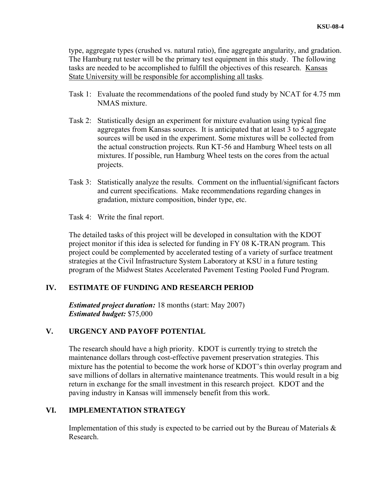type, aggregate types (crushed vs. natural ratio), fine aggregate angularity, and gradation. The Hamburg rut tester will be the primary test equipment in this study. The following tasks are needed to be accomplished to fulfill the objectives of this research. Kansas State University will be responsible for accomplishing all tasks.

- Task 1: Evaluate the recommendations of the pooled fund study by NCAT for 4.75 mm NMAS mixture.
- Task 2: Statistically design an experiment for mixture evaluation using typical fine aggregates from Kansas sources. It is anticipated that at least 3 to 5 aggregate sources will be used in the experiment. Some mixtures will be collected from the actual construction projects. Run KT-56 and Hamburg Wheel tests on all mixtures. If possible, run Hamburg Wheel tests on the cores from the actual projects.
- Task 3: Statistically analyze the results. Comment on the influential/significant factors and current specifications. Make recommendations regarding changes in gradation, mixture composition, binder type, etc.
- Task 4: Write the final report.

The detailed tasks of this project will be developed in consultation with the KDOT project monitor if this idea is selected for funding in FY 08 K-TRAN program. This project could be complemented by accelerated testing of a variety of surface treatment strategies at the Civil Infrastructure System Laboratory at KSU in a future testing program of the Midwest States Accelerated Pavement Testing Pooled Fund Program.

# **IV. ESTIMATE OF FUNDING AND RESEARCH PERIOD**

*Estimated project duration:* 18 months (start: May 2007) *Estimated budget:* \$75,000

# **V. URGENCY AND PAYOFF POTENTIAL**

The research should have a high priority. KDOT is currently trying to stretch the maintenance dollars through cost-effective pavement preservation strategies. This mixture has the potential to become the work horse of KDOT's thin overlay program and save millions of dollars in alternative maintenance treatments. This would result in a big return in exchange for the small investment in this research project. KDOT and the paving industry in Kansas will immensely benefit from this work.

# **VI. IMPLEMENTATION STRATEGY**

Implementation of this study is expected to be carried out by the Bureau of Materials  $\&$ Research.